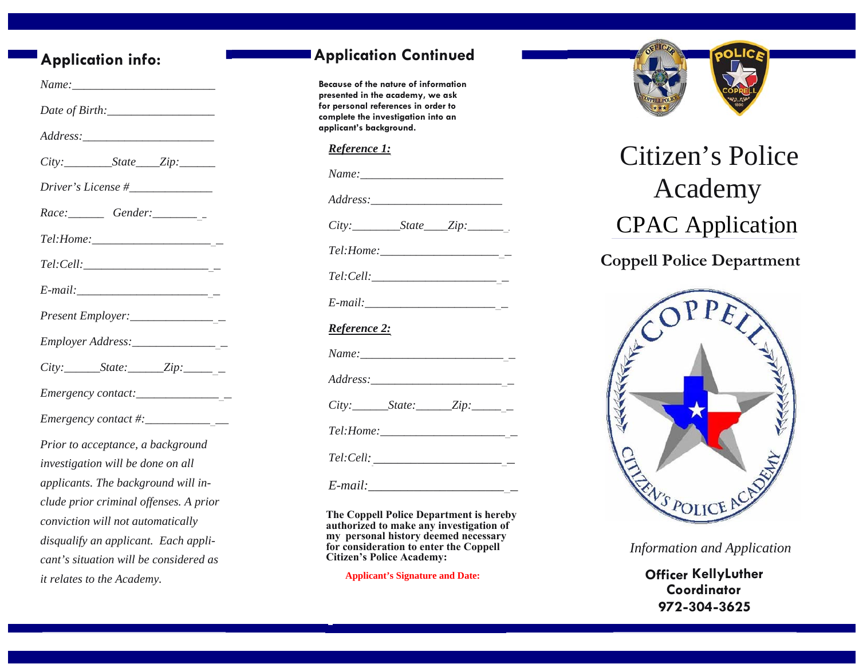# **Application info:**

| Present Employer:__________________       |
|-------------------------------------------|
|                                           |
|                                           |
|                                           |
| Emergency contact #: $\frac{2}{\sqrt{2}}$ |
| Prior to acceptance, a background         |
| investigation will be done on all         |
| applicants. The background will in-       |
| clude prior criminal offenses. A prior    |
| conviction will not automatically         |
| disqualify an applicant. Each appli-      |
| cant's situation will be considered as    |
| it relates to the Academy.                |

## **Application Continued**

**Because of the nature of information presented in the academy, we ask for personal references in order to complete the investigation into an applicant's background.** 

#### *Reference 1:*

| Reference 2: |  |
|--------------|--|
|              |  |
|              |  |
|              |  |
|              |  |
|              |  |
|              |  |

**The Coppell Police Department is hereby authorized to make any investigation of my personal history deemed necessary for consideration to enter the Coppell Citizen's Police Academy:** 

**Applicant's Signature and Date:**



# Citizen's Police Academy CPAC Application

**Coppell Police Department** 



*Information and Application*

**Officer KellyLuther Coordinator 972-304-3625**